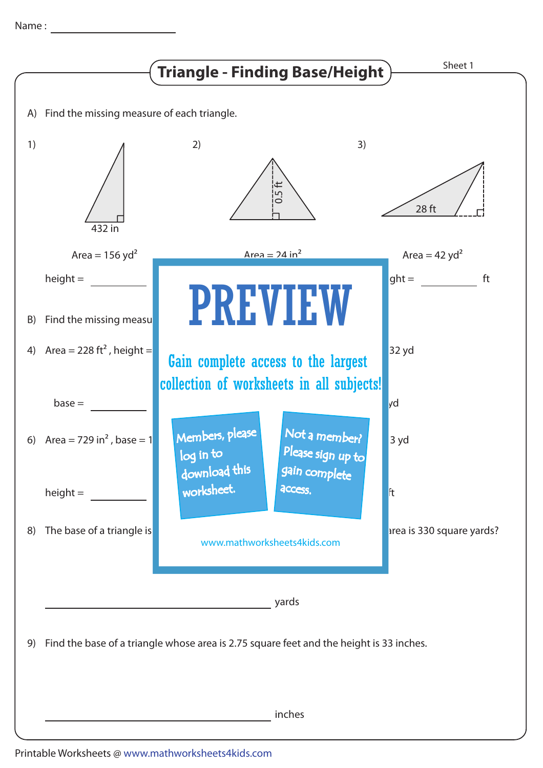